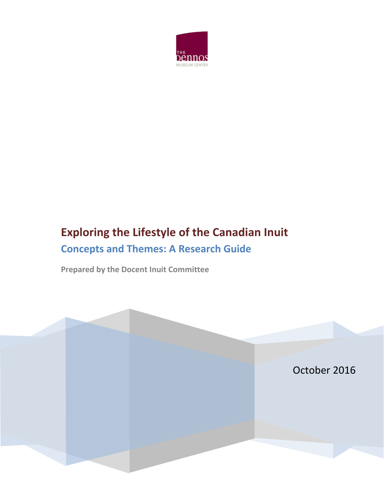

# **Exploring the Lifestyle of the Canadian Inuit Concepts and Themes: A Research Guide**

**Prepared by the Docent Inuit Committee**

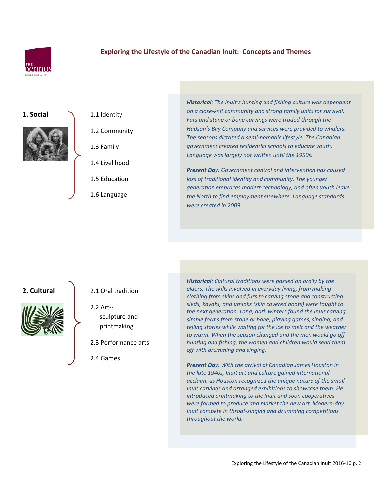

## **Exploring the Lifestyle of the Canadian Inuit: Concepts and Themes**

#### 1. Social 1.1 Identity



- 1.2 Community
- 
- 1.3 Family
- 1.4 Livelihood
- 1.5 Education
- 1.6 Language

*Historical: The Inuit's hunting and fishing culture was dependent on a close-knit community and strong family units for survival. Furs and stone or bone carvings were traded through the Hudson's Bay Company and services were provided to whalers. The seasons dictated a semi-nomadic lifestyle. The Canadian government created residential schools to educate youth. Language was largely not written until the 1950s.*

*Present Day: Government control and intervention has caused loss of traditional identity and community. The younger generation embraces modern technology, and often youth leave the North to find employment elsewhere. Language standards were created in 2009.*



- **2. Cultural 1** 2.1 Oral tradition
	- 2.2 Art- sculpture and printmaking
	- 2.3 Performance arts
	- 2.4 Games

*Historical: Cultural traditions were passed on orally by the elders. The skills involved in everyday living, from making clothing from skins and furs to carving stone and constructing sleds, kayaks, and umiaks (skin covered boats) were taught to the next generation. Long, dark winters found the Inuit carving simple forms from stone or bone, playing games, singing, and telling stories while waiting for the ice to melt and the weather to warm. When the season changed and the men would go off hunting and fishing, the women and children would send them off with drumming and singing.*

*Present Day: With the arrival of Canadian James Houston in the late 1940s, Inuit art and culture gained international acclaim, as Houston recognized the unique nature of the small Inuit carvings and arranged exhibitions to showcase them. He introduced printmaking to the Inuit and soon cooperatives were formed to produce and market the new art. Modern-day Inuit compete in throat-singing and drumming competitions throughout the world.*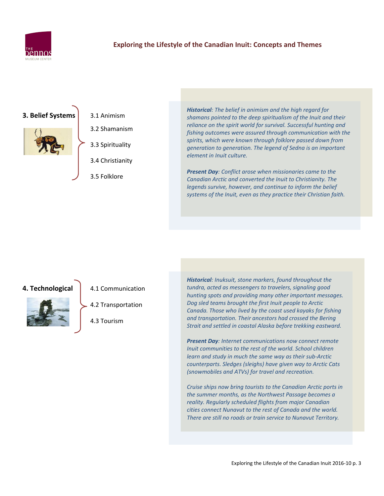

### **Exploring the Lifestyle of the Canadian Inuit: Concepts and Themes**

### **3. Belief Systems** 3.1 [Animism](http://firstpeoplesofcanada.com/fp_groups/fp_inuit5.html)



3.2 Shamanism 3.3 Spirituality

3.4 Christianity

3.5 Folklore

*Historical: The belief in animism and the high regard for shamans pointed to the deep spiritualism of the Inuit and their reliance on the spirit world for survival. Successful hunting and fishing outcomes were assured through communication with the spirits, which were known through folklore passed down from generation to generation. The legend of Sedna is an important element in Inuit culture.*

*Present Day: Conflict arose when missionaries came to the Canadian Arctic and converted the Inuit to Christianity. The legends survive, however, and continue to inform the belief systems of the Inuit, even as they practice their Christian faith.*

#### **4. Technological** 4.1 Communication



4.2 Transportation

4.3 Tourism

*Historical: Inuksuit, stone markers, found throughout the tundra, acted as messengers to travelers, signaling good hunting spots and providing many other important messages. Dog sled teams brought the first Inuit people to Arctic Canada. Those who lived by the coast used kayaks for fishing and transportation. Their ancestors had crossed the Bering Strait and settled in coastal Alaska before trekking eastward.*

*Present Day: Internet communications now connect remote Inuit communities to the rest of the world. School children learn and study in much the same way as their sub-Arctic counterparts. Sledges (sleighs) have given way to Arctic Cats (snowmobiles and ATVs) for travel and recreation.*

*Cruise ships now bring tourists to the Canadian Arctic ports in the summer months, as the Northwest Passage becomes a reality. Regularly scheduled flights from major Canadian cities connect Nunavut to the rest of Canada and the world. There are still no roads or train service to Nunavut Territory.*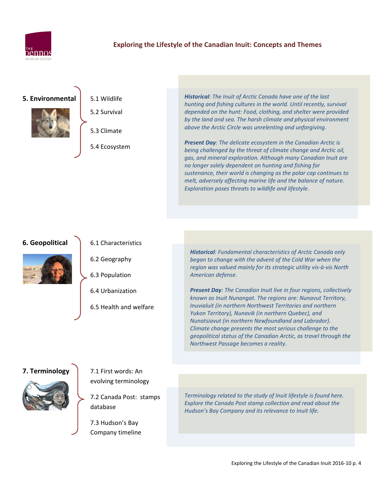

#### **Exploring the Lifestyle of the Canadian Inuit: Concepts and Themes**

#### **5. Environmental** 5.1 Wildlife



- 5.2 Survival
- 5.3 Climate
- 5.4 Ecosystem

*Historical: The Inuit of Arctic Canada have one of the last hunting and fishing cultures in the world. Until recently, survival depended on the hunt: Food, clothing, and shelter were provided by the land and sea. The harsh climate and physical environment above the Arctic Circle was unrelenting and unforgiving.*

*Present Day: The delicate ecosystem in the Canadian Arctic is being challenged by the threat of climate change and Arctic oil, gas, and mineral exploration. Although many Canadian Inuit are no longer solely dependent on hunting and fishing for sustenance, their world is changing as the polar cap continues to melt, adversely affecting marine life and the balance of nature. Exploration poses threats to wildlife and lifestyle.*

#### **6. Geopolitical** 6.1 Characteristics



- 6.2 Geography
- 6.3 Population
- 6.4 Urbanization
- 6.5 Health and welfare

*Historical: Fundamental characteristics of Arctic Canada only began to change with the advent of the Cold War when the region was valued mainly for its strategic utility vis-à-vis North American defense.*

*Present Day: The Canadian Inuit live in four regions, collectively known as Inuit Nunangat. The regions are: Nunavut Territory, Inuvialuit (in northern Northwest Territories and northern Yukon Territory), Nunavik (in northern Quebec), and Nunatsiavut (in northern Newfoundland and Labrador). Climate change presents the most serious challenge to the geopolitical status of the Canadian Arctic, as travel through the Northwest Passage becomes a reality.*

#### **7. Terminology** 7.1 First words: An



- evolving terminology
- 7.2 Canada Post: stamps database
	- 7.3 Hudson's Bay Company timeline

*Terminology related to the study of Inuit lifestyle is found here. Explore the Canada Post stamp collection and read about the Hudson's Bay Company and its relevance to Inuit life.*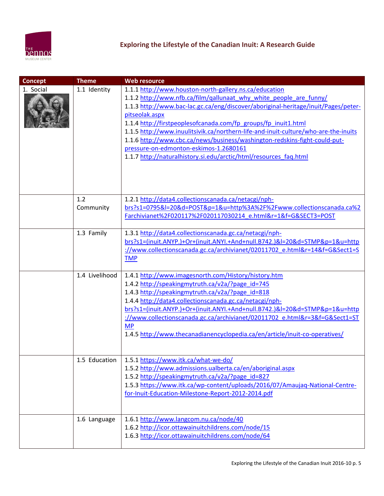

| <b>Concept</b> | <b>Theme</b>   | <b>Web resource</b>                                                                                                                                                                                                                                                                                                                                                                                                                                                                                                                                                                        |
|----------------|----------------|--------------------------------------------------------------------------------------------------------------------------------------------------------------------------------------------------------------------------------------------------------------------------------------------------------------------------------------------------------------------------------------------------------------------------------------------------------------------------------------------------------------------------------------------------------------------------------------------|
| 1. Social      | 1.1 Identity   | 1.1.1 http://www.houston-north-gallery.ns.ca/education<br>1.1.2 http://www.nfb.ca/film/qallunaat_why_white_people_are_funny/<br>1.1.3 http://www.bac-lac.gc.ca/eng/discover/aboriginal-heritage/inuit/Pages/peter-<br>pitseolak.aspx<br>1.1.4 http://firstpeoplesofcanada.com/fp groups/fp inuit1.html<br>1.1.5 http://www.inuulitsivik.ca/northern-life-and-inuit-culture/who-are-the-inuits<br>1.1.6 http://www.cbc.ca/news/business/washington-redskins-fight-could-put-<br>pressure-on-edmonton-eskimos-1.2680161<br>1.1.7 http://naturalhistory.si.edu/arctic/html/resources faq.html |
|                | 1.2            | 1.2.1 http://data4.collectionscanada.ca/netacgi/nph-                                                                                                                                                                                                                                                                                                                                                                                                                                                                                                                                       |
|                | Community      | brs?s1=0795&l=20&d=POST&p=1&u=http%3A%2F%2Fwww.collectionscanada.ca%2<br>Farchivianet%2F020117%2F020117030214 e.html&r=1&f=G&SECT3=POST                                                                                                                                                                                                                                                                                                                                                                                                                                                    |
|                | 1.3 Family     | 1.3.1 http://data4.collectionscanada.gc.ca/netacgi/nph-<br>brs?s1=(inuit.ANYP.)+Or+(inuit.ANYI.+And+null.B742.)&l=20&d=STMP&p=1&u=http<br>://www.collectionscanada.gc.ca/archivianet/02011702 e.html&r=14&f=G&Sect1=S<br><b>TMP</b>                                                                                                                                                                                                                                                                                                                                                        |
|                | 1.4 Livelihood | 1.4.1 http://www.imagesnorth.com/History/history.htm<br>1.4.2 http://speakingmytruth.ca/v2a/?page_id=745<br>1.4.3 http://speakingmytruth.ca/v2a/?page_id=818<br>1.4.4 http://data4.collectionscanada.gc.ca/netacgi/nph-<br>brs?s1=(inuit.ANYP.)+Or+(inuit.ANYI.+And+null.B742.)&l=20&d=STMP&p=1&u=http<br>://www.collectionscanada.gc.ca/archivianet/02011702 e.html&r=3&f=G&Sect1=ST<br><b>MP</b><br>1.4.5 http://www.thecanadianencyclopedia.ca/en/article/inuit-co-operatives/                                                                                                          |
|                | 1.5 Education  | 1.5.1 https://www.itk.ca/what-we-do/<br>1.5.2 http://www.admissions.ualberta.ca/en/aboriginal.aspx<br>1.5.2 http://speakingmytruth.ca/v2a/?page_id=827<br>1.5.3 https://www.itk.ca/wp-content/uploads/2016/07/Amaujaq-National-Centre-<br>for-Inuit-Education-Milestone-Report-2012-2014.pdf                                                                                                                                                                                                                                                                                               |
|                | 1.6 Language   | 1.6.1 http://www.langcom.nu.ca/node/40<br>1.6.2 http://icor.ottawainuitchildrens.com/node/15<br>1.6.3 http://icor.ottawainuitchildrens.com/node/64                                                                                                                                                                                                                                                                                                                                                                                                                                         |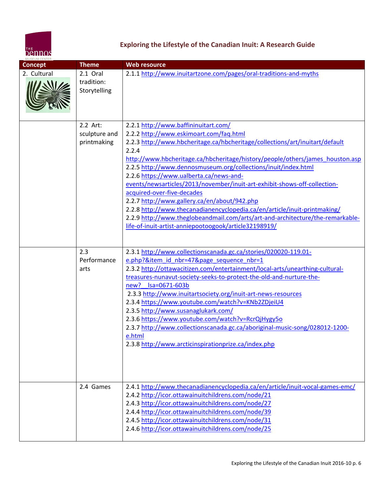

# **Exploring the Lifestyle of the Canadian Inuit: A Research Guide**

| MUSEUM CENTER<br><b>Concept</b> | <b>Theme</b>                             | <b>Web resource</b>                                                                                                                                                                                                                                                                                                                                                                                                                                                                                                                                                                                                                                                                                                                                       |
|---------------------------------|------------------------------------------|-----------------------------------------------------------------------------------------------------------------------------------------------------------------------------------------------------------------------------------------------------------------------------------------------------------------------------------------------------------------------------------------------------------------------------------------------------------------------------------------------------------------------------------------------------------------------------------------------------------------------------------------------------------------------------------------------------------------------------------------------------------|
| 2. Cultural                     |                                          |                                                                                                                                                                                                                                                                                                                                                                                                                                                                                                                                                                                                                                                                                                                                                           |
|                                 | 2.1 Oral<br>tradition:<br>Storytelling   | 2.1.1 http://www.inuitartzone.com/pages/oral-traditions-and-myths                                                                                                                                                                                                                                                                                                                                                                                                                                                                                                                                                                                                                                                                                         |
|                                 | 2.2 Art:<br>sculpture and<br>printmaking | 2.2.1 http://www.baffininuitart.com/<br>2.2.2 http://www.eskimoart.com/faq.html<br>2.2.3 http://www.hbcheritage.ca/hbcheritage/collections/art/inuitart/default<br>2.2.4<br>http://www.hbcheritage.ca/hbcheritage/history/people/others/james_houston.asp<br>2.2.5 http://www.dennosmuseum.org/collections/inuit/index.html<br>2.2.6 https://www.ualberta.ca/news-and-<br>events/newsarticles/2013/november/inuit-art-exhibit-shows-off-collection-<br>acquired-over-five-decades<br>2.2.7 http://www.gallery.ca/en/about/942.php<br>2.2.8 http://www.thecanadianencyclopedia.ca/en/article/inuit-printmaking/<br>2.2.9 http://www.theglobeandmail.com/arts/art-and-architecture/the-remarkable-<br>life-of-inuit-artist-anniepootoogook/article32198919/ |
|                                 | 2.3<br>Performance<br>arts               | 2.3.1 http://www.collectionscanada.gc.ca/stories/020020-119.01-<br>e.php?&item_id_nbr=47&page_sequence_nbr=1<br>2.3.2 http://ottawacitizen.com/entertainment/local-arts/unearthing-cultural-<br>treasures-nunavut-society-seeks-to-protect-the-old-and-nurture-the-<br>new? Isa=0671-603b<br>2.3.3 http://www.inuitartsociety.org/inuit-art-news-resources<br>2.3.4 https://www.youtube.com/watch?v=KNb2ZDjeiU4<br>2.3.5 http://www.susanaglukark.com/<br>2.3.6 https://www.youtube.com/watch?v=RcrQjHygy5o<br>2.3.7 http://www.collectionscanada.gc.ca/aboriginal-music-song/028012-1200-<br>e.html<br>2.3.8 http://www.arcticinspirationprize.ca/index.php                                                                                              |
|                                 | 2.4 Games                                | 2.4.1 http://www.thecanadianencyclopedia.ca/en/article/inuit-vocal-games-emc/<br>2.4.2 http://icor.ottawainuitchildrens.com/node/21<br>2.4.3 http://icor.ottawainuitchildrens.com/node/27<br>2.4.4 http://icor.ottawainuitchildrens.com/node/39<br>2.4.5 http://icor.ottawainuitchildrens.com/node/31<br>2.4.6 http://icor.ottawainuitchildrens.com/node/25                                                                                                                                                                                                                                                                                                                                                                                               |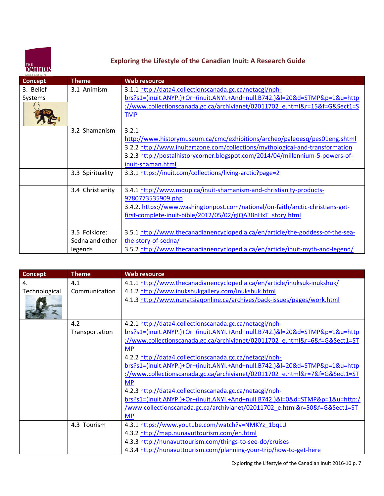

# **Exploring the Lifestyle of the Canadian Inuit: A Research Guide**

| <b>Concept</b> | <b>Theme</b>     | <b>Web resource</b>                                                            |
|----------------|------------------|--------------------------------------------------------------------------------|
| 3. Belief      | 3.1 Animism      | 3.1.1 http://data4.collectionscanada.gc.ca/netacgi/nph-                        |
| Systems        |                  | brs?s1=(inuit.ANYP.)+Or+(inuit.ANYI.+And+null.B742.)&l=20&d=STMP&p=1&u=http    |
|                |                  | ://www.collectionscanada.gc.ca/archivianet/02011702 e.html&r=15&f=G&Sect1=S    |
|                |                  | <b>TMP</b>                                                                     |
|                |                  |                                                                                |
|                | 3.2 Shamanism    | 3.2.1                                                                          |
|                |                  | http://www.historymuseum.ca/cmc/exhibitions/archeo/paleoesq/pes01eng.shtml     |
|                |                  | 3.2.2 http://www.inuitartzone.com/collections/mythological-and-transformation  |
|                |                  | 3.2.3 http://postalhistorycorner.blogspot.com/2014/04/millennium-5-powers-of-  |
|                |                  | inuit-shaman.html                                                              |
|                | 3.3 Spirituality | 3.3.1 https://inuit.com/collections/living-arctic?page=2                       |
|                |                  |                                                                                |
|                | 3.4 Christianity | 3.4.1 http://www.mqup.ca/inuit-shamanism-and-christianity-products-            |
|                |                  | 9780773535909.php                                                              |
|                |                  | 3.4.2. https://www.washingtonpost.com/national/on-faith/arctic-christians-get- |
|                |                  | first-complete-inuit-bible/2012/05/02/gIQA38nHxT story.html                    |
|                |                  |                                                                                |
|                | 3.5 Folklore:    | 3.5.1 http://www.thecanadianencyclopedia.ca/en/article/the-goddess-of-the-sea- |
|                | Sedna and other  | the-story-of-sedna/                                                            |
|                | legends          | 3.5.2 http://www.thecanadianencyclopedia.ca/en/article/inuit-myth-and-legend/  |

| <b>Concept</b> | <b>Theme</b>   | <b>Web resource</b>                                                          |
|----------------|----------------|------------------------------------------------------------------------------|
| 4.             | 4.1            | 4.1.1 http://www.thecanadianencyclopedia.ca/en/article/inuksuk-inukshuk/     |
| Technological  | Communication  | 4.1.2 http://www.inukshukgallery.com/inukshuk.html                           |
|                |                | 4.1.3 http://www.nunatsiagonline.ca/archives/back-issues/pages/work.html     |
|                |                |                                                                              |
|                | 4.2            | 4.2.1 http://data4.collectionscanada.gc.ca/netacgi/nph-                      |
|                | Transportation | brs?s1=(inuit.ANYP.)+Or+(inuit.ANYI.+And+null.B742.)&l=20&d=STMP&p=1&u=http  |
|                |                | ://www.collectionscanada.gc.ca/archivianet/02011702_e.html&r=6&f=G&Sect1=ST  |
|                |                | <b>MP</b>                                                                    |
|                |                | 4.2.2 http://data4.collectionscanada.gc.ca/netacgi/nph-                      |
|                |                | brs?s1=(inuit.ANYP.)+Or+(inuit.ANYI.+And+null.B742.)&l=20&d=STMP&p=1&u=http  |
|                |                | ://www.collectionscanada.gc.ca/archivianet/02011702_e.html&r=7&f=G&Sect1=ST  |
|                |                | <b>MP</b>                                                                    |
|                |                | 4.2.3 http://data4.collectionscanada.gc.ca/netacgi/nph-                      |
|                |                | brs?s1=(inuit.ANYP.)+Or+(inuit.ANYI.+And+null.B742.)&l=0&d=STMP&p=1&u=http:/ |
|                |                | /www.collectionscanada.gc.ca/archivianet/02011702 e.html&r=50&f=G&Sect1=ST   |
|                |                | <b>MP</b>                                                                    |
|                | 4.3 Tourism    | 4.3.1 https://www.youtube.com/watch?v=NMKYz_1bqLU                            |
|                |                | 4.3.2 http://map.nunavuttourism.com/en.html                                  |
|                |                | 4.3.3 http://nunavuttourism.com/things-to-see-do/cruises                     |
|                |                | 4.3.4 http://nunavuttourism.com/planning-your-trip/how-to-get-here           |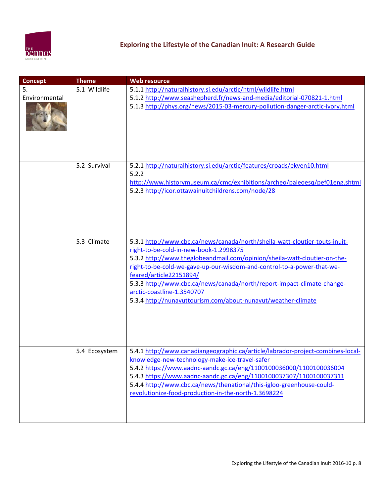

| <b>Concept</b>      | <b>Theme</b>  | <b>Web resource</b>                                                                                                                                                                                                                                                                                                                                                                                                                                                               |
|---------------------|---------------|-----------------------------------------------------------------------------------------------------------------------------------------------------------------------------------------------------------------------------------------------------------------------------------------------------------------------------------------------------------------------------------------------------------------------------------------------------------------------------------|
| 5.<br>Environmental | 5.1 Wildlife  | 5.1.1 http://naturalhistory.si.edu/arctic/html/wildlife.html<br>5.1.2 http://www.seashepherd.fr/news-and-media/editorial-070821-1.html<br>5.1.3 http://phys.org/news/2015-03-mercury-pollution-danger-arctic-ivory.html                                                                                                                                                                                                                                                           |
|                     | 5.2 Survival  | 5.2.1 http://naturalhistory.si.edu/arctic/features/croads/ekven10.html<br>5.2.2<br>http://www.historymuseum.ca/cmc/exhibitions/archeo/paleoesq/pef01eng.shtml<br>5.2.3 http://icor.ottawainuitchildrens.com/node/28                                                                                                                                                                                                                                                               |
|                     | 5.3 Climate   | 5.3.1 http://www.cbc.ca/news/canada/north/sheila-watt-cloutier-touts-inuit-<br>right-to-be-cold-in-new-book-1.2998375<br>5.3.2 http://www.theglobeandmail.com/opinion/sheila-watt-cloutier-on-the-<br>right-to-be-cold-we-gave-up-our-wisdom-and-control-to-a-power-that-we-<br>feared/article22151894/<br>5.3.3 http://www.cbc.ca/news/canada/north/report-impact-climate-change-<br>arctic-coastline-1.3540707<br>5.3.4 http://nunavuttourism.com/about-nunavut/weather-climate |
|                     | 5.4 Ecosystem | 5.4.1 http://www.canadiangeographic.ca/article/labrador-project-combines-local-<br>knowledge-new-technology-make-ice-travel-safer<br>5.4.2 https://www.aadnc-aandc.gc.ca/eng/1100100036000/1100100036004<br>5.4.3 https://www.aadnc-aandc.gc.ca/eng/1100100037307/1100100037311<br>5.4.4 http://www.cbc.ca/news/thenational/this-igloo-greenhouse-could-<br>revolutionize-food-production-in-the-north-1.3698224                                                                  |